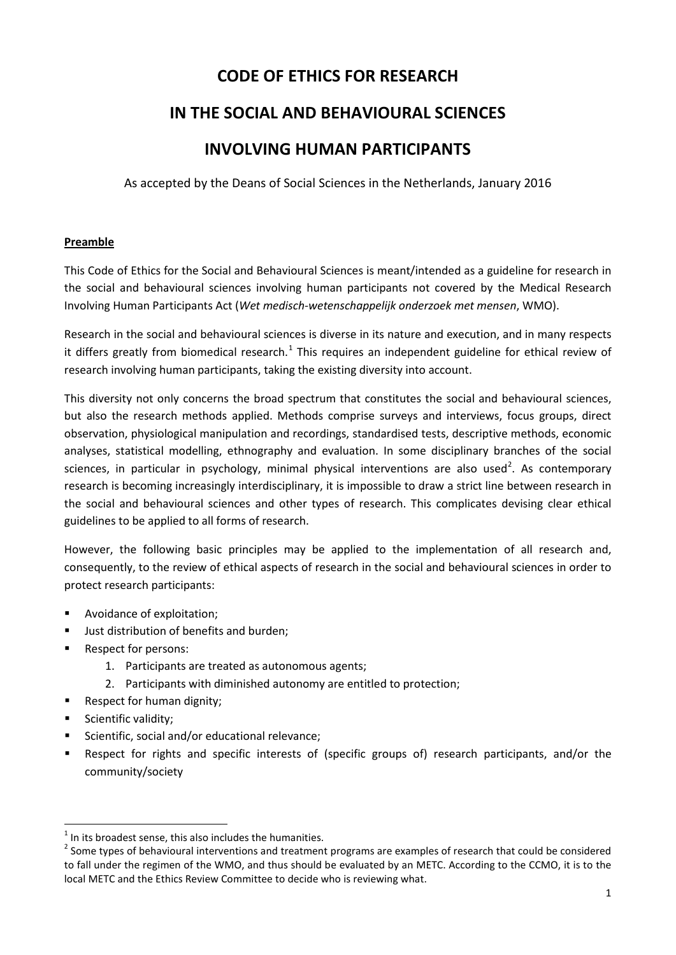# **CODE OF ETHICS FOR RESEARCH**

# **IN THE SOCIAL AND BEHAVIOURAL SCIENCES**

# **INVOLVING HUMAN PARTICIPANTS**

As accepted by the Deans of Social Sciences in the Netherlands, January 2016

## **Preamble**

This Code of Ethics for the Social and Behavioural Sciences is meant/intended as a guideline for research in the social and behavioural sciences involving human participants not covered by the Medical Research Involving Human Participants Act (*Wet medisch-wetenschappelijk onderzoek met mensen*, WMO).

Research in the social and behavioural sciences is diverse in its nature and execution, and in many respects it differs greatly from biomedical research.<sup>[1](#page-0-0)</sup> This requires an independent guideline for ethical review of research involving human participants, taking the existing diversity into account.

This diversity not only concerns the broad spectrum that constitutes the social and behavioural sciences, but also the research methods applied. Methods comprise surveys and interviews, focus groups, direct observation, physiological manipulation and recordings, standardised tests, descriptive methods, economic analyses, statistical modelling, ethnography and evaluation. In some disciplinary branches of the social sciences, in particular in psychology, minimal physical interventions are also used<sup>[2](#page-0-1)</sup>. As contemporary research is becoming increasingly interdisciplinary, it is impossible to draw a strict line between research in the social and behavioural sciences and other types of research. This complicates devising clear ethical guidelines to be applied to all forms of research.

However, the following basic principles may be applied to the implementation of all research and, consequently, to the review of ethical aspects of research in the social and behavioural sciences in order to protect research participants:

- Avoidance of exploitation;
- **Just distribution of benefits and burden;**
- **Respect for persons:** 
	- 1. Participants are treated as autonomous agents;
	- 2. Participants with diminished autonomy are entitled to protection;
- Respect for human dignity;
- **Scientific validity;**
- Scientific, social and/or educational relevance;
- Respect for rights and specific interests of (specific groups of) research participants, and/or the community/society

<span id="page-0-0"></span> $1$  In its broadest sense, this also includes the humanities.

<span id="page-0-1"></span><sup>&</sup>lt;sup>2</sup> Some types of behavioural interventions and treatment programs are examples of research that could be considered to fall under the regimen of the WMO, and thus should be evaluated by an METC. According to the CCMO, it is to the local METC and the Ethics Review Committee to decide who is reviewing what.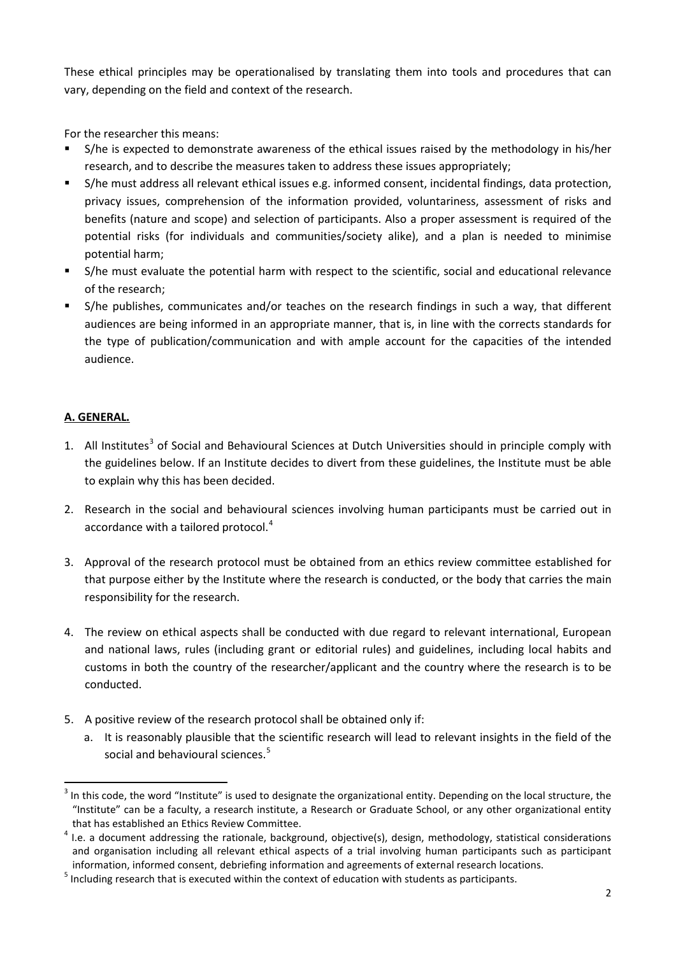These ethical principles may be operationalised by translating them into tools and procedures that can vary, depending on the field and context of the research.

For the researcher this means:

- S/he is expected to demonstrate awareness of the ethical issues raised by the methodology in his/her research, and to describe the measures taken to address these issues appropriately;
- S/he must address all relevant ethical issues e.g. informed consent, incidental findings, data protection, privacy issues, comprehension of the information provided, voluntariness, assessment of risks and benefits (nature and scope) and selection of participants. Also a proper assessment is required of the potential risks (for individuals and communities/society alike), and a plan is needed to minimise potential harm;
- S/he must evaluate the potential harm with respect to the scientific, social and educational relevance of the research;
- S/he publishes, communicates and/or teaches on the research findings in such a way, that different audiences are being informed in an appropriate manner, that is, in line with the corrects standards for the type of publication/communication and with ample account for the capacities of the intended audience.

## **A. GENERAL.**

- 1. All Institutes<sup>[3](#page-1-0)</sup> of Social and Behavioural Sciences at Dutch Universities should in principle comply with the guidelines below. If an Institute decides to divert from these guidelines, the Institute must be able to explain why this has been decided.
- 2. Research in the social and behavioural sciences involving human participants must be carried out in accordance with a tailored protocol.<sup>[4](#page-1-1)</sup>
- 3. Approval of the research protocol must be obtained from an ethics review committee established for that purpose either by the Institute where the research is conducted, or the body that carries the main responsibility for the research.
- 4. The review on ethical aspects shall be conducted with due regard to relevant international, European and national laws, rules (including grant or editorial rules) and guidelines, including local habits and customs in both the country of the researcher/applicant and the country where the research is to be conducted.
- 5. A positive review of the research protocol shall be obtained only if:
	- a. It is reasonably plausible that the scientific research will lead to relevant insights in the field of the social and behavioural sciences.<sup>[5](#page-1-2)</sup>

<span id="page-1-0"></span> $3$  In this code, the word "Institute" is used to designate the organizational entity. Depending on the local structure, the "Institute" can be a faculty, a research institute, a Research or Graduate School, or any other organizational entity

<span id="page-1-1"></span>that has established an Ethics Review Committee.<br><sup>4</sup> I.e. a document addressing the rationale, background, objective(s), design, methodology, statistical considerations and organisation including all relevant ethical aspects of a trial involving human participants such as participant information, informed consent, debriefing information and agreements of external research locations.

<span id="page-1-2"></span><sup>&</sup>lt;sup>5</sup> Including research that is executed within the context of education with students as participants.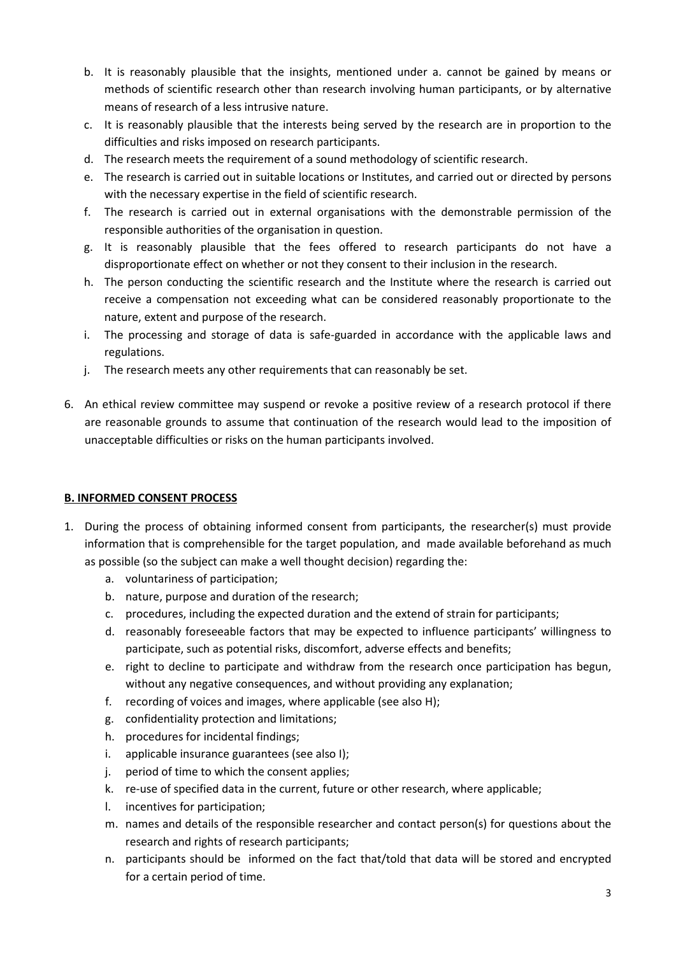- b. It is reasonably plausible that the insights, mentioned under a. cannot be gained by means or methods of scientific research other than research involving human participants, or by alternative means of research of a less intrusive nature.
- c. It is reasonably plausible that the interests being served by the research are in proportion to the difficulties and risks imposed on research participants.
- d. The research meets the requirement of a sound methodology of scientific research.
- e. The research is carried out in suitable locations or Institutes, and carried out or directed by persons with the necessary expertise in the field of scientific research.
- f. The research is carried out in external organisations with the demonstrable permission of the responsible authorities of the organisation in question.
- g. It is reasonably plausible that the fees offered to research participants do not have a disproportionate effect on whether or not they consent to their inclusion in the research.
- h. The person conducting the scientific research and the Institute where the research is carried out receive a compensation not exceeding what can be considered reasonably proportionate to the nature, extent and purpose of the research.
- i. The processing and storage of data is safe-guarded in accordance with the applicable laws and regulations.
- j. The research meets any other requirements that can reasonably be set.
- 6. An ethical review committee may suspend or revoke a positive review of a research protocol if there are reasonable grounds to assume that continuation of the research would lead to the imposition of unacceptable difficulties or risks on the human participants involved.

## **B. INFORMED CONSENT PROCESS**

- 1. During the process of obtaining informed consent from participants, the researcher(s) must provide information that is comprehensible for the target population, and made available beforehand as much as possible (so the subject can make a well thought decision) regarding the:
	- a. voluntariness of participation;
	- b. nature, purpose and duration of the research;
	- c. procedures, including the expected duration and the extend of strain for participants;
	- d. reasonably foreseeable factors that may be expected to influence participants' willingness to participate, such as potential risks, discomfort, adverse effects and benefits;
	- e. right to decline to participate and withdraw from the research once participation has begun, without any negative consequences, and without providing any explanation;
	- f. recording of voices and images, where applicable (see also H);
	- g. confidentiality protection and limitations;
	- h. procedures for incidental findings;
	- i. applicable insurance guarantees (see also I);
	- j. period of time to which the consent applies;
	- k. re-use of specified data in the current, future or other research, where applicable;
	- l. incentives for participation;
	- m. names and details of the responsible researcher and contact person(s) for questions about the research and rights of research participants;
	- n. participants should be informed on the fact that/told that data will be stored and encrypted for a certain period of time.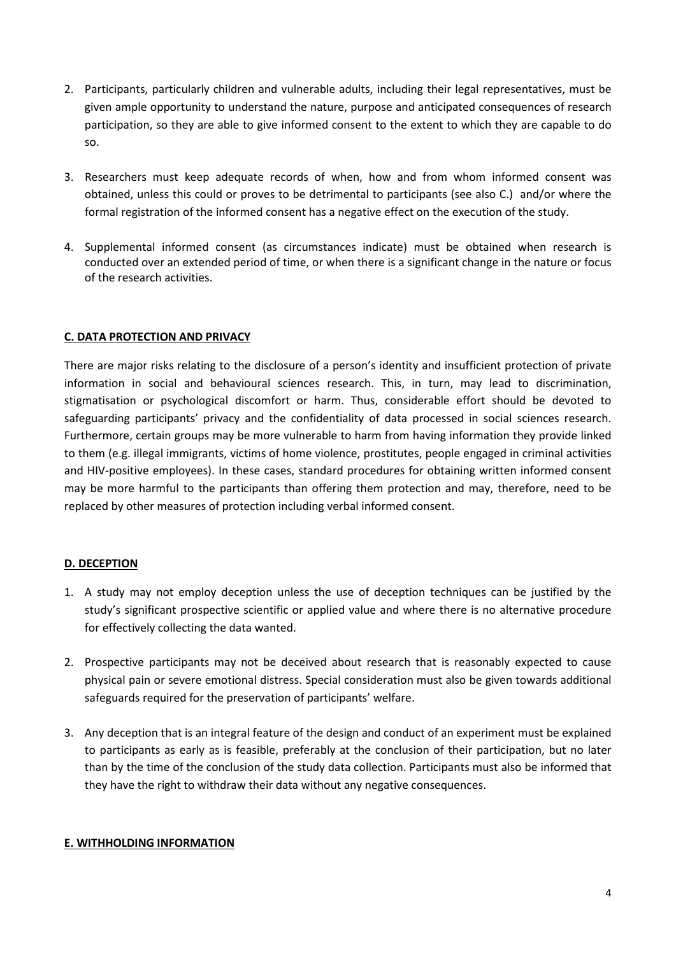- 2. Participants, particularly children and vulnerable adults, including their legal representatives, must be given ample opportunity to understand the nature, purpose and anticipated consequences of research participation, so they are able to give informed consent to the extent to which they are capable to do so.
- 3. Researchers must keep adequate records of when, how and from whom informed consent was obtained, unless this could or proves to be detrimental to participants (see also C.) and/or where the formal registration of the informed consent has a negative effect on the execution of the study.
- 4. Supplemental informed consent (as circumstances indicate) must be obtained when research is conducted over an extended period of time, or when there is a significant change in the nature or focus of the research activities.

#### **C. DATA PROTECTION AND PRIVACY**

There are major risks relating to the disclosure of a person's identity and insufficient protection of private information in social and behavioural sciences research. This, in turn, may lead to discrimination, stigmatisation or psychological discomfort or harm. Thus, considerable effort should be devoted to safeguarding participants' privacy and the confidentiality of data processed in social sciences research. Furthermore, certain groups may be more vulnerable to harm from having information they provide linked to them (e.g. illegal immigrants, victims of home violence, prostitutes, people engaged in criminal activities and HIV-positive employees). In these cases, standard procedures for obtaining written informed consent may be more harmful to the participants than offering them protection and may, therefore, need to be replaced by other measures of protection including verbal informed consent.

## **D. DECEPTION**

- 1. A study may not employ deception unless the use of deception techniques can be justified by the study's significant prospective scientific or applied value and where there is no alternative procedure for effectively collecting the data wanted.
- 2. Prospective participants may not be deceived about research that is reasonably expected to cause physical pain or severe emotional distress. Special consideration must also be given towards additional safeguards required for the preservation of participants' welfare.
- 3. Any deception that is an integral feature of the design and conduct of an experiment must be explained to participants as early as is feasible, preferably at the conclusion of their participation, but no later than by the time of the conclusion of the study data collection. Participants must also be informed that they have the right to withdraw their data without any negative consequences.

#### **E. WITHHOLDING INFORMATION**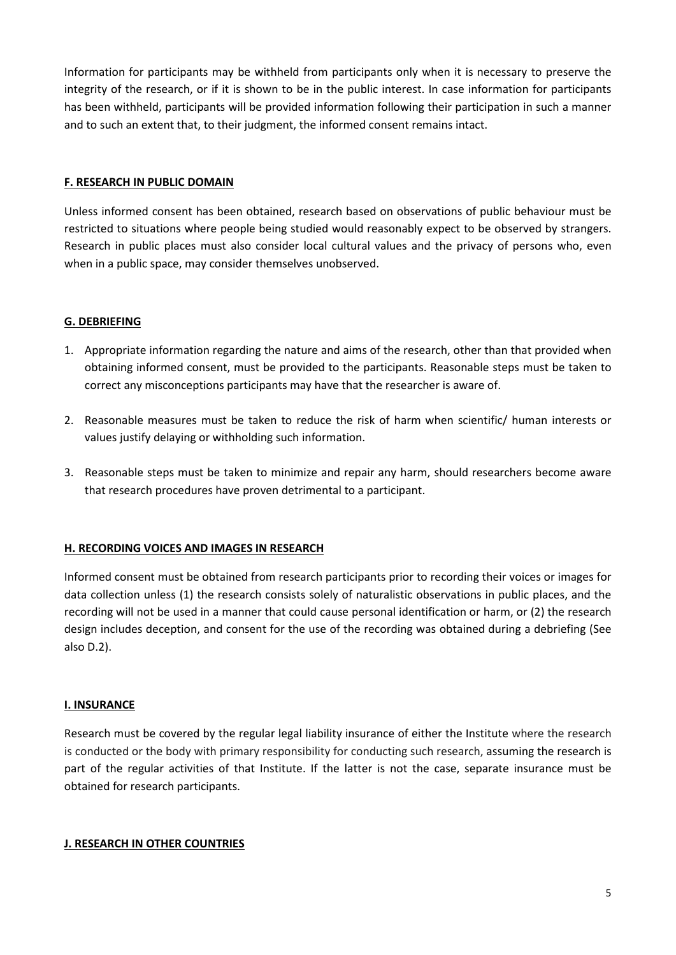Information for participants may be withheld from participants only when it is necessary to preserve the integrity of the research, or if it is shown to be in the public interest. In case information for participants has been withheld, participants will be provided information following their participation in such a manner and to such an extent that, to their judgment, the informed consent remains intact.

#### **F. RESEARCH IN PUBLIC DOMAIN**

Unless informed consent has been obtained, research based on observations of public behaviour must be restricted to situations where people being studied would reasonably expect to be observed by strangers. Research in public places must also consider local cultural values and the privacy of persons who, even when in a public space, may consider themselves unobserved.

## **G. DEBRIEFING**

- 1. Appropriate information regarding the nature and aims of the research, other than that provided when obtaining informed consent, must be provided to the participants. Reasonable steps must be taken to correct any misconceptions participants may have that the researcher is aware of.
- 2. Reasonable measures must be taken to reduce the risk of harm when scientific/ human interests or values justify delaying or withholding such information.
- 3. Reasonable steps must be taken to minimize and repair any harm, should researchers become aware that research procedures have proven detrimental to a participant.

#### **H. RECORDING VOICES AND IMAGES IN RESEARCH**

Informed consent must be obtained from research participants prior to recording their voices or images for data collection unless (1) the research consists solely of naturalistic observations in public places, and the recording will not be used in a manner that could cause personal identification or harm, or (2) the research design includes deception, and consent for the use of the recording was obtained during a debriefing (See also D.2).

#### **I. INSURANCE**

Research must be covered by the regular legal liability insurance of either the Institute where the research is conducted or the body with primary responsibility for conducting such research, assuming the research is part of the regular activities of that Institute. If the latter is not the case, separate insurance must be obtained for research participants.

#### **J. RESEARCH IN OTHER COUNTRIES**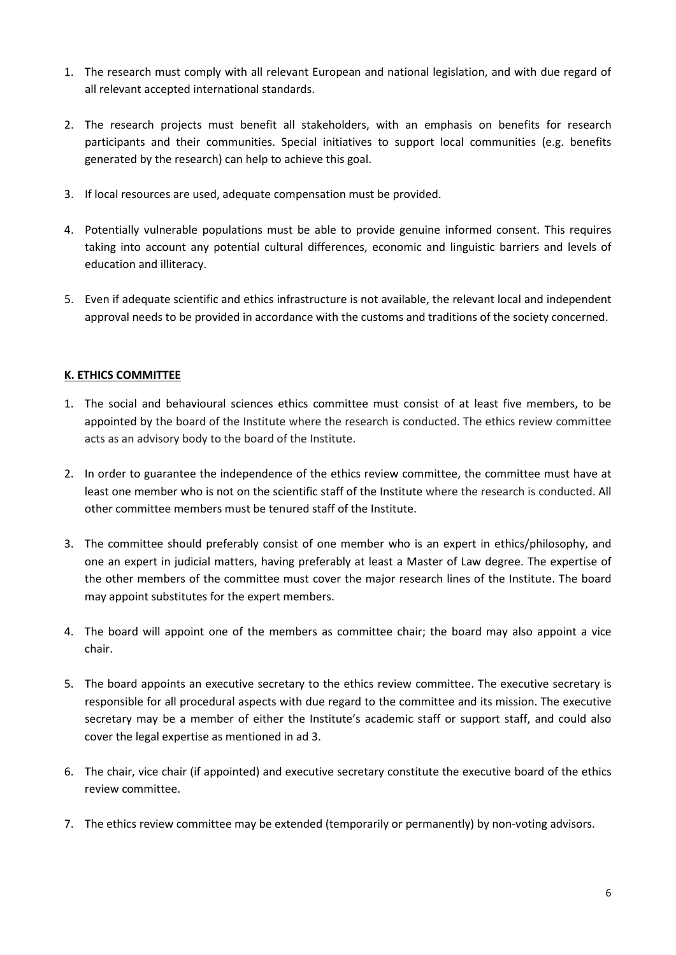- 1. The research must comply with all relevant European and national legislation, and with due regard of all relevant accepted international standards.
- 2. The research projects must benefit all stakeholders, with an emphasis on benefits for research participants and their communities. Special initiatives to support local communities (e.g. benefits generated by the research) can help to achieve this goal.
- 3. If local resources are used, adequate compensation must be provided.
- 4. Potentially vulnerable populations must be able to provide genuine informed consent. This requires taking into account any potential cultural differences, economic and linguistic barriers and levels of education and illiteracy.
- 5. Even if adequate scientific and ethics infrastructure is not available, the relevant local and independent approval needs to be provided in accordance with the customs and traditions of the society concerned.

## **K. ETHICS COMMITTEE**

- 1. The social and behavioural sciences ethics committee must consist of at least five members, to be appointed by the board of the Institute where the research is conducted. The ethics review committee acts as an advisory body to the board of the Institute.
- 2. In order to guarantee the independence of the ethics review committee, the committee must have at least one member who is not on the scientific staff of the Institute where the research is conducted. All other committee members must be tenured staff of the Institute.
- 3. The committee should preferably consist of one member who is an expert in ethics/philosophy, and one an expert in judicial matters, having preferably at least a Master of Law degree. The expertise of the other members of the committee must cover the major research lines of the Institute. The board may appoint substitutes for the expert members.
- 4. The board will appoint one of the members as committee chair; the board may also appoint a vice chair.
- 5. The board appoints an executive secretary to the ethics review committee. The executive secretary is responsible for all procedural aspects with due regard to the committee and its mission. The executive secretary may be a member of either the Institute's academic staff or support staff, and could also cover the legal expertise as mentioned in ad 3.
- 6. The chair, vice chair (if appointed) and executive secretary constitute the executive board of the ethics review committee.
- 7. The ethics review committee may be extended (temporarily or permanently) by non-voting advisors.